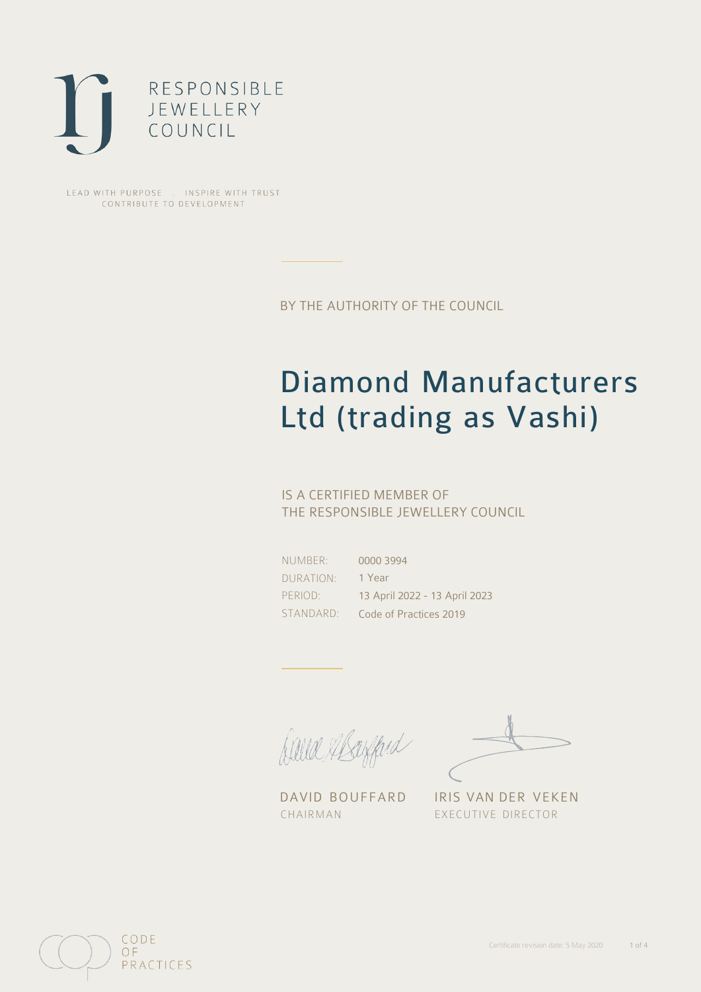

LEAD WITH PURPOSE . INSPIRE WITH TRUST CONTRIBUTE TO DEVELOPMENT

BY THE AUTHORITY OF THE COUNCIL

# Diamond Manufacturers Ltd (trading as Vashi)

## IS A CERTIFIED MEMBER OF THE RESPONSIBLE JEWELLERY COUNCIL

NUMBER: DURATION: PERIOD: STANDARD:

0000 3994 1 Year 13 April 2022 - 13 April 2023 Code of Practices 2019

Alle Abayfard

DAVID BOUFFARD IRIS VAN DER VEKEN CHAIRMAN EXECUTIVE DIRECTOR

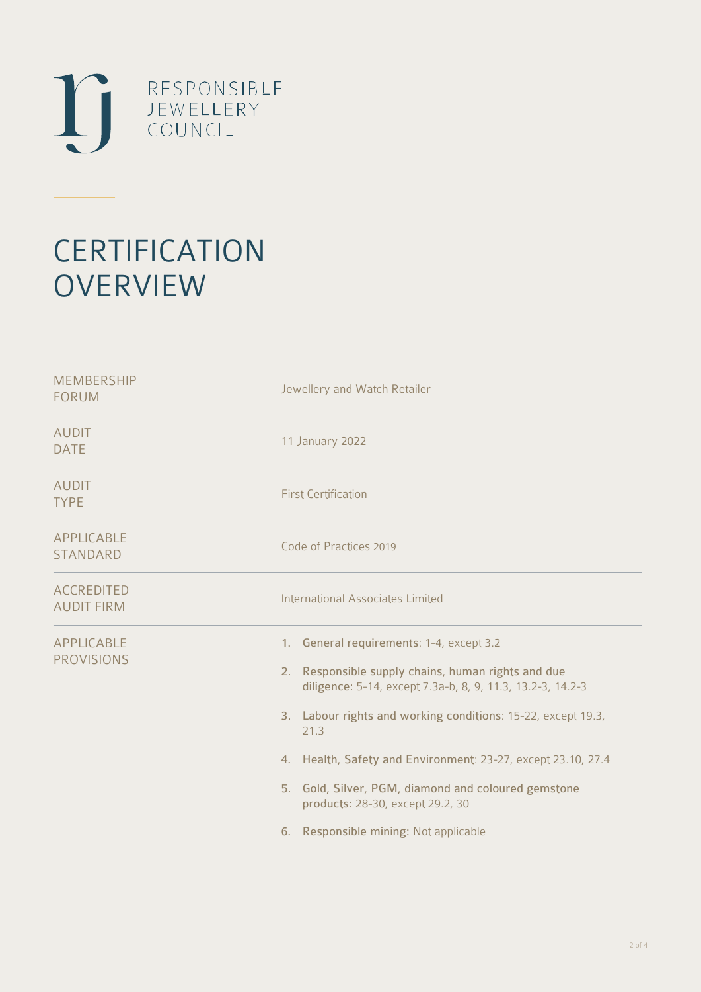

# **CERTIFICATION OVERVIEW**

| <b>MEMBERSHIP</b><br><b>FORUM</b>      | Jewellery and Watch Retailer                                                                                                                                                                                                                                                                                                                                                                                                             |
|----------------------------------------|------------------------------------------------------------------------------------------------------------------------------------------------------------------------------------------------------------------------------------------------------------------------------------------------------------------------------------------------------------------------------------------------------------------------------------------|
| <b>AUDIT</b><br><b>DATE</b>            | 11 January 2022                                                                                                                                                                                                                                                                                                                                                                                                                          |
| <b>AUDIT</b><br><b>TYPE</b>            | <b>First Certification</b>                                                                                                                                                                                                                                                                                                                                                                                                               |
| <b>APPLICABLE</b><br>STANDARD          | Code of Practices 2019                                                                                                                                                                                                                                                                                                                                                                                                                   |
| <b>ACCREDITED</b><br><b>AUDIT FIRM</b> | International Associates Limited                                                                                                                                                                                                                                                                                                                                                                                                         |
| APPLICABLE<br><b>PROVISIONS</b>        | 1. General requirements: 1-4, except 3.2<br>2. Responsible supply chains, human rights and due<br>diligence: 5-14, except 7.3a-b, 8, 9, 11.3, 13.2-3, 14.2-3<br>3. Labour rights and working conditions: 15-22, except 19.3,<br>21.3<br>4. Health, Safety and Environment: 23-27, except 23.10, 27.4<br>5. Gold, Silver, PGM, diamond and coloured gemstone<br>products: 28-30, except 29.2, 30<br>6. Responsible mining: Not applicable |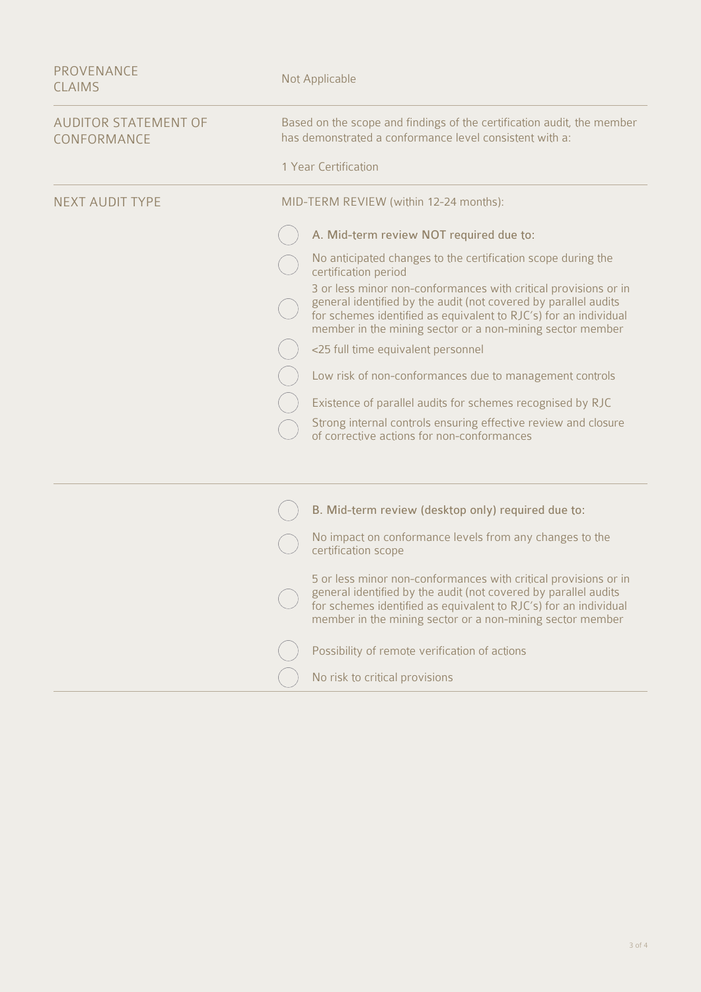| <b>PROVENANCE</b><br><b>CLAIMS</b>         | Not Applicable                                                                                                                                                                                                                                                      |
|--------------------------------------------|---------------------------------------------------------------------------------------------------------------------------------------------------------------------------------------------------------------------------------------------------------------------|
| <b>AUDITOR STATEMENT OF</b><br>CONFORMANCE | Based on the scope and findings of the certification audit, the member<br>has demonstrated a conformance level consistent with a:                                                                                                                                   |
|                                            | 1 Year Certification                                                                                                                                                                                                                                                |
| <b>NEXT AUDIT TYPE</b>                     | MID-TERM REVIEW (within 12-24 months):                                                                                                                                                                                                                              |
|                                            | A. Mid-term review NOT required due to:                                                                                                                                                                                                                             |
|                                            | No anticipated changes to the certification scope during the<br>certification period                                                                                                                                                                                |
|                                            | 3 or less minor non-conformances with critical provisions or in<br>general identified by the audit (not covered by parallel audits<br>for schemes identified as equivalent to RJC's) for an individual<br>member in the mining sector or a non-mining sector member |
|                                            | <25 full time equivalent personnel                                                                                                                                                                                                                                  |
|                                            | Low risk of non-conformances due to management controls                                                                                                                                                                                                             |
|                                            | Existence of parallel audits for schemes recognised by RJC                                                                                                                                                                                                          |
|                                            | Strong internal controls ensuring effective review and closure<br>of corrective actions for non-conformances                                                                                                                                                        |
|                                            |                                                                                                                                                                                                                                                                     |
|                                            | B. Mid-term review (desktop only) required due to:                                                                                                                                                                                                                  |
|                                            | No impact on conformance levels from any changes to the<br>certification scope                                                                                                                                                                                      |
|                                            | 5 or less minor non-conformances with critical provisions or in<br>general identified by the audit (not covered by parallel audits<br>for schemes identified as equivalent to RJC's) for an individual<br>member in the mining sector or a non-mining sector member |
|                                            | Possibility of remote verification of actions                                                                                                                                                                                                                       |
|                                            | No risk to critical provisions                                                                                                                                                                                                                                      |